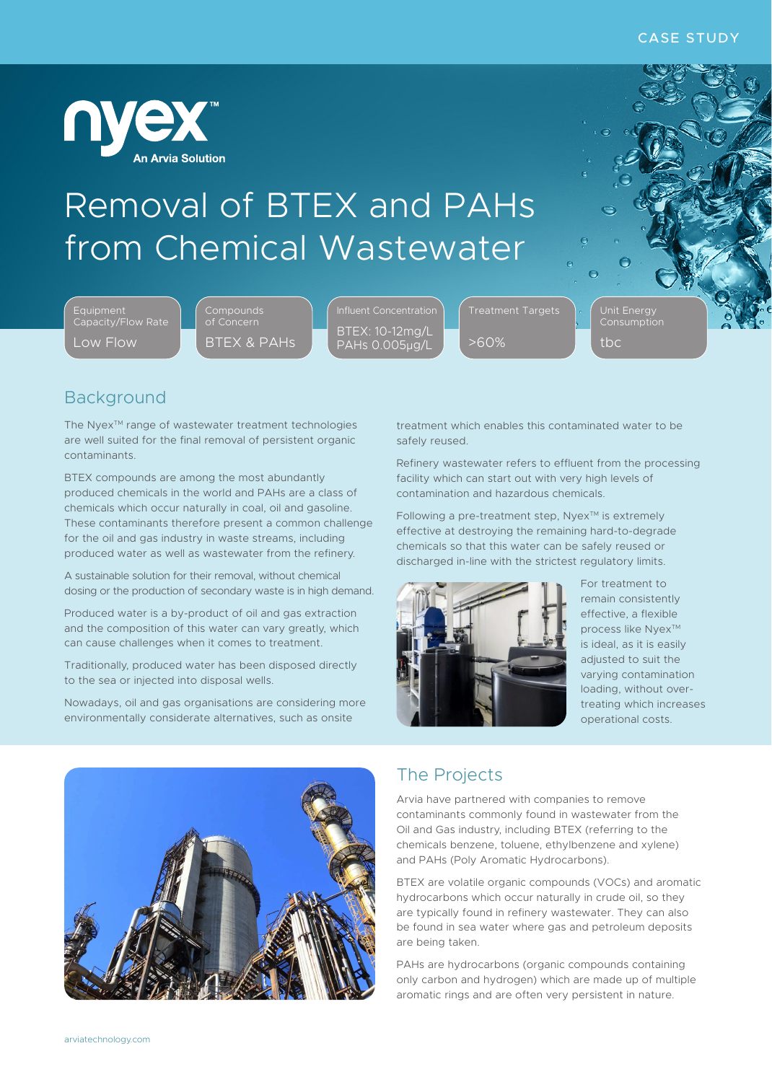

# Removal of BTEX and PAHs from Chemical Wastewater

Equipment Capacity/Flow Rate Low Flow

**Compounds** of Concern BTEX & PAHs BTEX: 10-12mg/L PAHs 0.005µg/L

>60%

Unit Energy Consumption

tbc

## Background

The Nyex™ range of wastewater treatment technologies are well suited for the final removal of persistent organic contaminants.

BTEX compounds are among the most abundantly produced chemicals in the world and PAHs are a class of chemicals which occur naturally in coal, oil and gasoline. These contaminants therefore present a common challenge for the oil and gas industry in waste streams, including produced water as well as wastewater from the refinery.

A sustainable solution for their removal, without chemical dosing or the production of secondary waste is in high demand.

Produced water is a by-product of oil and gas extraction and the composition of this water can vary greatly, which can cause challenges when it comes to treatment.

Traditionally, produced water has been disposed directly to the sea or injected into disposal wells.

Nowadays, oil and gas organisations are considering more environmentally considerate alternatives, such as onsite

treatment which enables this contaminated water to be safely reused.

Refinery wastewater refers to effluent from the processing facility which can start out with very high levels of contamination and hazardous chemicals.

Following a pre-treatment step, Nyex™ is extremely effective at destroying the remaining hard-to-degrade chemicals so that this water can be safely reused or discharged in-line with the strictest regulatory limits.



For treatment to remain consistently effective, a flexible process like Nyex™ is ideal, as it is easily adjusted to suit the varying contamination loading, without overtreating which increases operational costs.



#### The Projects

Arvia have partnered with companies to remove contaminants commonly found in wastewater from the Oil and Gas industry, including BTEX (referring to the chemicals benzene, toluene, ethylbenzene and xylene) and PAHs (Poly Aromatic Hydrocarbons).

BTEX are volatile organic compounds (VOCs) and aromatic hydrocarbons which occur naturally in crude oil, so they are typically found in refinery wastewater. They can also be found in sea water where gas and petroleum deposits are being taken.

PAHs are hydrocarbons (organic compounds containing only carbon and hydrogen) which are made up of multiple aromatic rings and are often very persistent in nature.